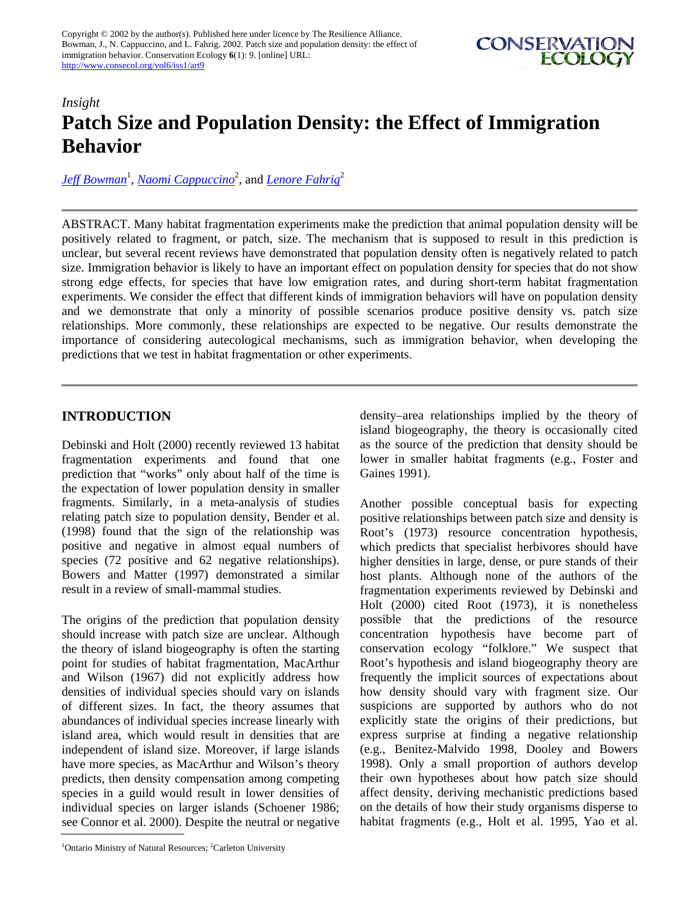

# *Insight* **Patch Size and Population Density: the Effect of Immigration Behavior**

*[Jeff Bowman](mailto:jeff.bowman@mnr.gov.on.ca)*<sup>1</sup> , *[Naomi Cappuccino](mailto:ncappucc@ccs.carleton.ca)*<sup>2</sup> , and *[Lenore Fahrig](mailto:lfahrig@ccs.carleton.ca)*<sup>2</sup>

ABSTRACT. Many habitat fragmentation experiments make the prediction that animal population density will be positively related to fragment, or patch, size. The mechanism that is supposed to result in this prediction is unclear, but several recent reviews have demonstrated that population density often is negatively related to patch size. Immigration behavior is likely to have an important effect on population density for species that do not show strong edge effects, for species that have low emigration rates, and during short-term habitat fragmentation experiments. We consider the effect that different kinds of immigration behaviors will have on population density and we demonstrate that only a minority of possible scenarios produce positive density vs. patch size relationships. More commonly, these relationships are expected to be negative. Our results demonstrate the importance of considering autecological mechanisms, such as immigration behavior, when developing the predictions that we test in habitat fragmentation or other experiments.

### **INTRODUCTION**

Debinski and Holt (2000) recently reviewed 13 habitat fragmentation experiments and found that one prediction that "works" only about half of the time is the expectation of lower population density in smaller fragments. Similarly, in a meta-analysis of studies relating patch size to population density, Bender et al. (1998) found that the sign of the relationship was positive and negative in almost equal numbers of species (72 positive and 62 negative relationships). Bowers and Matter (1997) demonstrated a similar result in a review of small-mammal studies.

The origins of the prediction that population density should increase with patch size are unclear. Although the theory of island biogeography is often the starting point for studies of habitat fragmentation, MacArthur and Wilson (1967) did not explicitly address how densities of individual species should vary on islands of different sizes. In fact, the theory assumes that abundances of individual species increase linearly with island area, which would result in densities that are independent of island size. Moreover, if large islands have more species, as MacArthur and Wilson's theory predicts, then density compensation among competing species in a guild would result in lower densities of individual species on larger islands (Schoener 1986; see Connor et al. 2000). Despite the neutral or negative

<sup>1</sup>Ontario Ministry of Natural Resources; <sup>2</sup>Carleton University

density–area relationships implied by the theory of island biogeography, the theory is occasionally cited as the source of the prediction that density should be lower in smaller habitat fragments (e.g., Foster and Gaines 1991).

Another possible conceptual basis for expecting positive relationships between patch size and density is Root's (1973) resource concentration hypothesis, which predicts that specialist herbivores should have higher densities in large, dense, or pure stands of their host plants. Although none of the authors of the fragmentation experiments reviewed by Debinski and Holt (2000) cited Root (1973), it is nonetheless possible that the predictions of the resource concentration hypothesis have become part of conservation ecology "folklore." We suspect that Root's hypothesis and island biogeography theory are frequently the implicit sources of expectations about how density should vary with fragment size. Our suspicions are supported by authors who do not explicitly state the origins of their predictions, but express surprise at finding a negative relationship (e.g., Benitez-Malvido 1998, Dooley and Bowers 1998). Only a small proportion of authors develop their own hypotheses about how patch size should affect density, deriving mechanistic predictions based on the details of how their study organisms disperse to habitat fragments (e.g., Holt et al. 1995, Yao et al.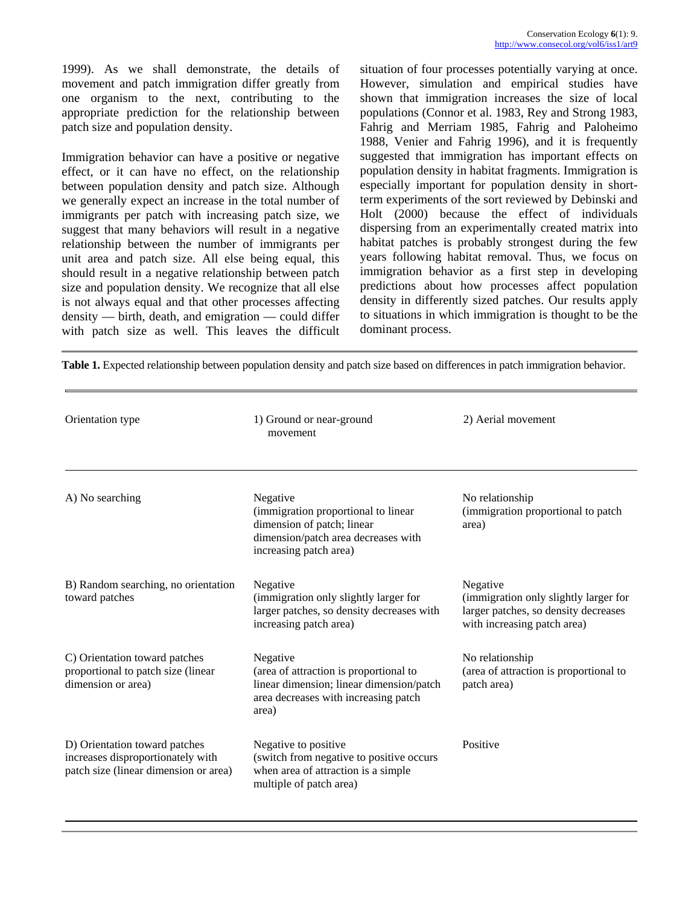1999). As we shall demonstrate, the details of movement and patch immigration differ greatly from one organism to the next, contributing to the appropriate prediction for the relationship between patch size and population density.

Immigration behavior can have a positive or negative effect, or it can have no effect, on the relationship between population density and patch size. Although we generally expect an increase in the total number of immigrants per patch with increasing patch size, we suggest that many behaviors will result in a negative relationship between the number of immigrants per unit area and patch size. All else being equal, this should result in a negative relationship between patch size and population density. We recognize that all else is not always equal and that other processes affecting density — birth, death, and emigration — could differ with patch size as well. This leaves the difficult situation of four processes potentially varying at once. However, simulation and empirical studies have shown that immigration increases the size of local populations (Connor et al. 1983, Rey and Strong 1983, Fahrig and Merriam 1985, Fahrig and Paloheimo 1988, Venier and Fahrig 1996), and it is frequently suggested that immigration has important effects on population density in habitat fragments. Immigration is especially important for population density in shortterm experiments of the sort reviewed by Debinski and Holt (2000) because the effect of individuals dispersing from an experimentally created matrix into habitat patches is probably strongest during the few years following habitat removal. Thus, we focus on immigration behavior as a first step in developing predictions about how processes affect population density in differently sized patches. Our results apply to situations in which immigration is thought to be the dominant process.

**Table 1.** Expected relationship between population density and patch size based on differences in patch immigration behavior.

| Orientation type                                                                                            | 1) Ground or near-ground<br>movement                                                                                                            | 2) Aerial movement                                                                                                       |
|-------------------------------------------------------------------------------------------------------------|-------------------------------------------------------------------------------------------------------------------------------------------------|--------------------------------------------------------------------------------------------------------------------------|
| A) No searching                                                                                             | Negative<br>(immigration proportional to linear<br>dimension of patch; linear<br>dimension/patch area decreases with<br>increasing patch area)  | No relationship<br>(immigration proportional to patch)<br>area)                                                          |
| B) Random searching, no orientation<br>toward patches                                                       | Negative<br>(immigration only slightly larger for<br>larger patches, so density decreases with<br>increasing patch area)                        | Negative<br>(immigration only slightly larger for<br>larger patches, so density decreases<br>with increasing patch area) |
| C) Orientation toward patches<br>proportional to patch size (linear<br>dimension or area)                   | Negative<br>(area of attraction is proportional to<br>linear dimension; linear dimension/patch<br>area decreases with increasing patch<br>area) | No relationship<br>(area of attraction is proportional to<br>patch area)                                                 |
| D) Orientation toward patches<br>increases disproportionately with<br>patch size (linear dimension or area) | Negative to positive<br>(switch from negative to positive occurs<br>when area of attraction is a simple<br>multiple of patch area)              | Positive                                                                                                                 |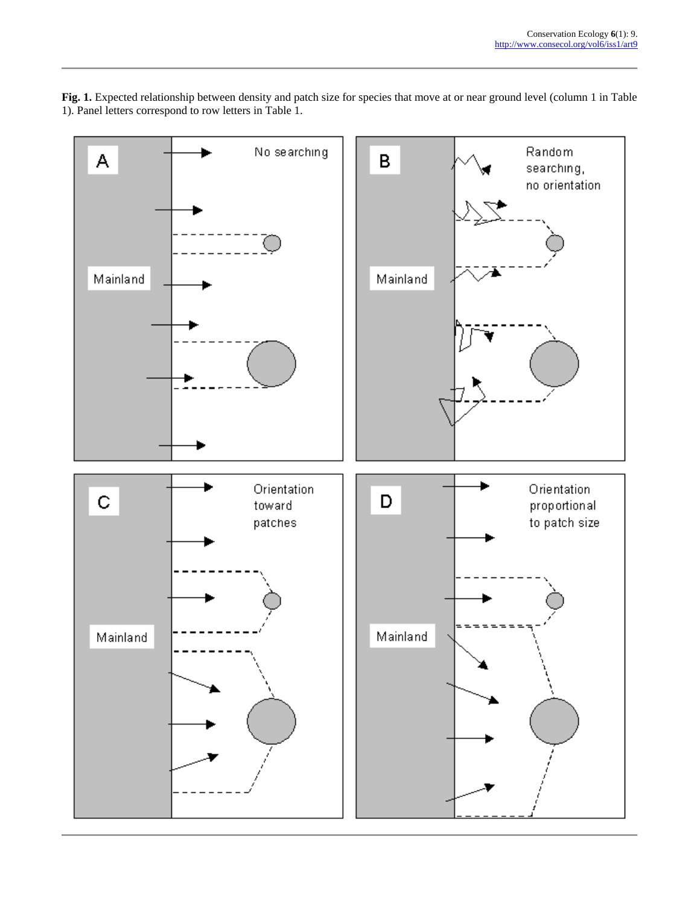**Fig. 1.** Expected relationship between density and patch size for species that move at or near ground level (column 1 in Table 1). Panel letters correspond to row letters in Table 1.

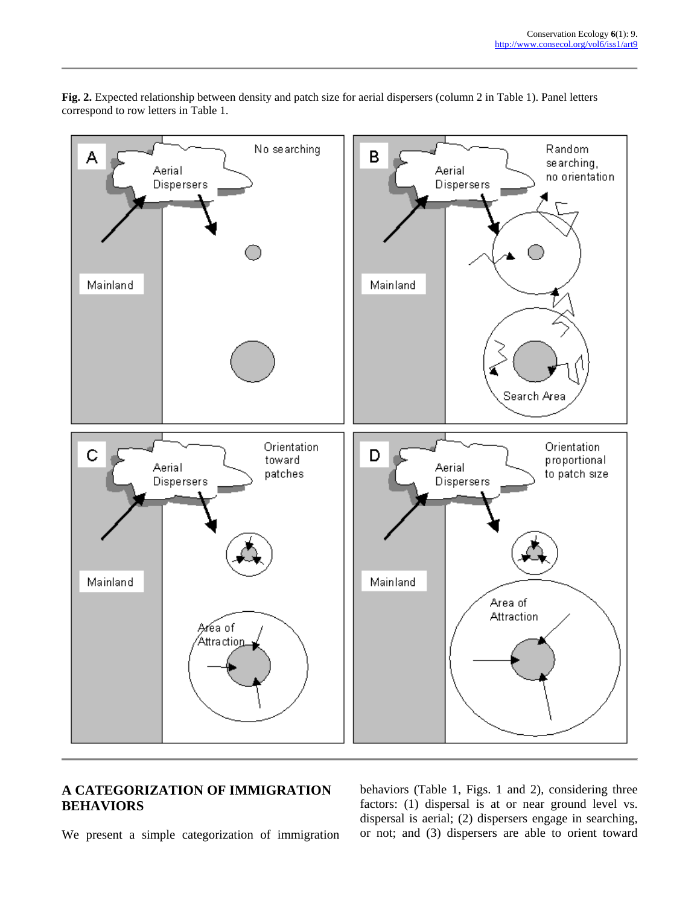

**Fig. 2.** Expected relationship between density and patch size for aerial dispersers (column 2 in Table 1). Panel letters correspond to row letters in Table 1.

## **A CATEGORIZATION OF IMMIGRATION BEHAVIORS**

We present a simple categorization of immigration

behaviors (Table 1, Figs. 1 and 2), considering three factors: (1) dispersal is at or near ground level vs. dispersal is aerial; (2) dispersers engage in searching, or not; and (3) dispersers are able to orient toward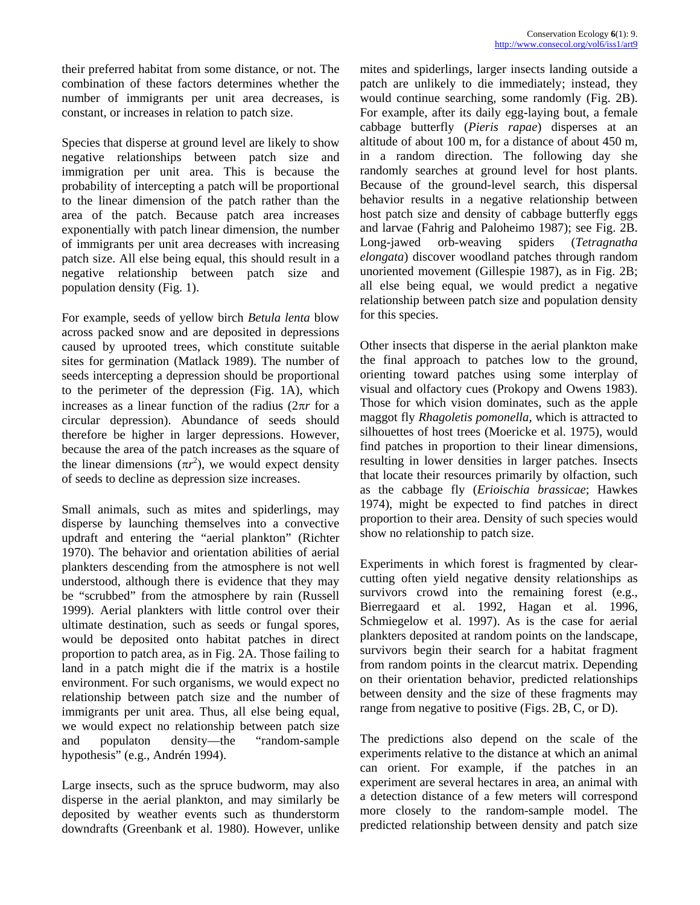their preferred habitat from some distance, or not. The combination of these factors determines whether the number of immigrants per unit area decreases, is constant, or increases in relation to patch size.

Species that disperse at ground level are likely to show negative relationships between patch size and immigration per unit area. This is because the probability of intercepting a patch will be proportional to the linear dimension of the patch rather than the area of the patch. Because patch area increases exponentially with patch linear dimension, the number of immigrants per unit area decreases with increasing patch size. All else being equal, this should result in a negative relationship between patch size and population density (Fig. 1).

For example, seeds of yellow birch *Betula lenta* blow across packed snow and are deposited in depressions caused by uprooted trees, which constitute suitable sites for germination (Matlack 1989). The number of seeds intercepting a depression should be proportional to the perimeter of the depression (Fig. 1A), which increases as a linear function of the radius (2π*r* for a circular depression). Abundance of seeds should therefore be higher in larger depressions. However, because the area of the patch increases as the square of the linear dimensions  $(\pi r^2)$ , we would expect density of seeds to decline as depression size increases.

Small animals, such as mites and spiderlings, may disperse by launching themselves into a convective updraft and entering the "aerial plankton" (Richter 1970). The behavior and orientation abilities of aerial plankters descending from the atmosphere is not well understood, although there is evidence that they may be "scrubbed" from the atmosphere by rain (Russell 1999). Aerial plankters with little control over their ultimate destination, such as seeds or fungal spores, would be deposited onto habitat patches in direct proportion to patch area, as in Fig. 2A. Those failing to land in a patch might die if the matrix is a hostile environment. For such organisms, we would expect no relationship between patch size and the number of immigrants per unit area. Thus, all else being equal, we would expect no relationship between patch size and populaton density—the "random-sample hypothesis" (e.g., Andrén 1994).

Large insects, such as the spruce budworm, may also disperse in the aerial plankton, and may similarly be deposited by weather events such as thunderstorm downdrafts (Greenbank et al. 1980). However, unlike mites and spiderlings, larger insects landing outside a patch are unlikely to die immediately; instead, they would continue searching, some randomly (Fig. 2B). For example, after its daily egg-laying bout, a female cabbage butterfly (*Pieris rapae*) disperses at an altitude of about 100 m, for a distance of about 450 m, in a random direction. The following day she randomly searches at ground level for host plants. Because of the ground-level search, this dispersal behavior results in a negative relationship between host patch size and density of cabbage butterfly eggs and larvae (Fahrig and Paloheimo 1987); see Fig. 2B. Long-jawed orb-weaving spiders (*Tetragnatha elongata*) discover woodland patches through random unoriented movement (Gillespie 1987), as in Fig. 2B; all else being equal, we would predict a negative relationship between patch size and population density for this species.

Other insects that disperse in the aerial plankton make the final approach to patches low to the ground, orienting toward patches using some interplay of visual and olfactory cues (Prokopy and Owens 1983). Those for which vision dominates, such as the apple maggot fly *Rhagoletis pomonella,* which is attracted to silhouettes of host trees (Moericke et al. 1975), would find patches in proportion to their linear dimensions, resulting in lower densities in larger patches. Insects that locate their resources primarily by olfaction, such as the cabbage fly (*Erioischia brassicae*; Hawkes 1974), might be expected to find patches in direct proportion to their area. Density of such species would show no relationship to patch size.

Experiments in which forest is fragmented by clearcutting often yield negative density relationships as survivors crowd into the remaining forest (e.g., Bierregaard et al. 1992, Hagan et al. 1996, Schmiegelow et al. 1997). As is the case for aerial plankters deposited at random points on the landscape, survivors begin their search for a habitat fragment from random points in the clearcut matrix. Depending on their orientation behavior, predicted relationships between density and the size of these fragments may range from negative to positive (Figs. 2B, C, or D).

The predictions also depend on the scale of the experiments relative to the distance at which an animal can orient. For example, if the patches in an experiment are several hectares in area, an animal with a detection distance of a few meters will correspond more closely to the random-sample model. The predicted relationship between density and patch size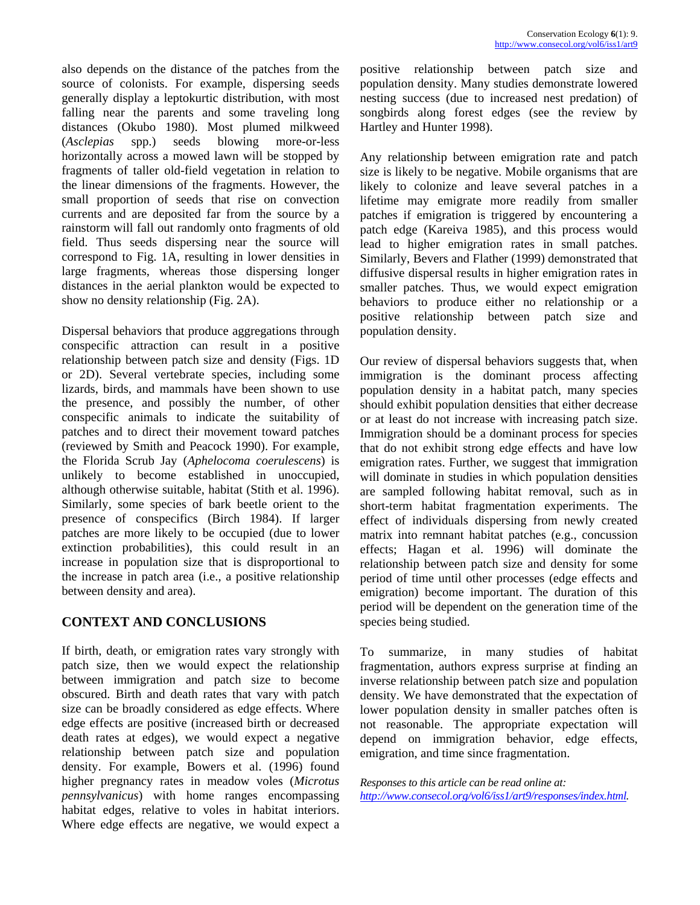also depends on the distance of the patches from the source of colonists. For example, dispersing seeds generally display a leptokurtic distribution, with most falling near the parents and some traveling long distances (Okubo 1980). Most plumed milkweed (*Asclepias* spp.) seeds blowing more-or-less horizontally across a mowed lawn will be stopped by fragments of taller old-field vegetation in relation to the linear dimensions of the fragments. However, the small proportion of seeds that rise on convection currents and are deposited far from the source by a rainstorm will fall out randomly onto fragments of old field. Thus seeds dispersing near the source will correspond to Fig. 1A, resulting in lower densities in large fragments, whereas those dispersing longer distances in the aerial plankton would be expected to show no density relationship (Fig. 2A).

Dispersal behaviors that produce aggregations through conspecific attraction can result in a positive relationship between patch size and density (Figs. 1D or 2D). Several vertebrate species, including some lizards, birds, and mammals have been shown to use the presence, and possibly the number, of other conspecific animals to indicate the suitability of patches and to direct their movement toward patches (reviewed by Smith and Peacock 1990). For example, the Florida Scrub Jay (*Aphelocoma coerulescens*) is unlikely to become established in unoccupied, although otherwise suitable, habitat (Stith et al. 1996). Similarly, some species of bark beetle orient to the presence of conspecifics (Birch 1984). If larger patches are more likely to be occupied (due to lower extinction probabilities), this could result in an increase in population size that is disproportional to the increase in patch area (i.e., a positive relationship between density and area).

# **CONTEXT AND CONCLUSIONS**

If birth, death, or emigration rates vary strongly with patch size, then we would expect the relationship between immigration and patch size to become obscured. Birth and death rates that vary with patch size can be broadly considered as edge effects. Where edge effects are positive (increased birth or decreased death rates at edges), we would expect a negative relationship between patch size and population density. For example, Bowers et al. (1996) found higher pregnancy rates in meadow voles (*Microtus pennsylvanicus*) with home ranges encompassing habitat edges, relative to voles in habitat interiors. Where edge effects are negative, we would expect a positive relationship between patch size and population density. Many studies demonstrate lowered nesting success (due to increased nest predation) of songbirds along forest edges (see the review by Hartley and Hunter 1998).

Any relationship between emigration rate and patch size is likely to be negative. Mobile organisms that are likely to colonize and leave several patches in a lifetime may emigrate more readily from smaller patches if emigration is triggered by encountering a patch edge (Kareiva 1985), and this process would lead to higher emigration rates in small patches. Similarly, Bevers and Flather (1999) demonstrated that diffusive dispersal results in higher emigration rates in smaller patches. Thus, we would expect emigration behaviors to produce either no relationship or a positive relationship between patch size and population density.

Our review of dispersal behaviors suggests that, when immigration is the dominant process affecting population density in a habitat patch, many species should exhibit population densities that either decrease or at least do not increase with increasing patch size. Immigration should be a dominant process for species that do not exhibit strong edge effects and have low emigration rates. Further, we suggest that immigration will dominate in studies in which population densities are sampled following habitat removal, such as in short-term habitat fragmentation experiments. The effect of individuals dispersing from newly created matrix into remnant habitat patches (e.g., concussion effects; Hagan et al. 1996) will dominate the relationship between patch size and density for some period of time until other processes (edge effects and emigration) become important. The duration of this period will be dependent on the generation time of the species being studied.

To summarize, in many studies of habitat fragmentation, authors express surprise at finding an inverse relationship between patch size and population density. We have demonstrated that the expectation of lower population density in smaller patches often is not reasonable. The appropriate expectation will depend on immigration behavior, edge effects, emigration, and time since fragmentation.

*Responses to this article can be read online at: <http://www.consecol.org/vol6/iss1/art9/responses/index.html>.*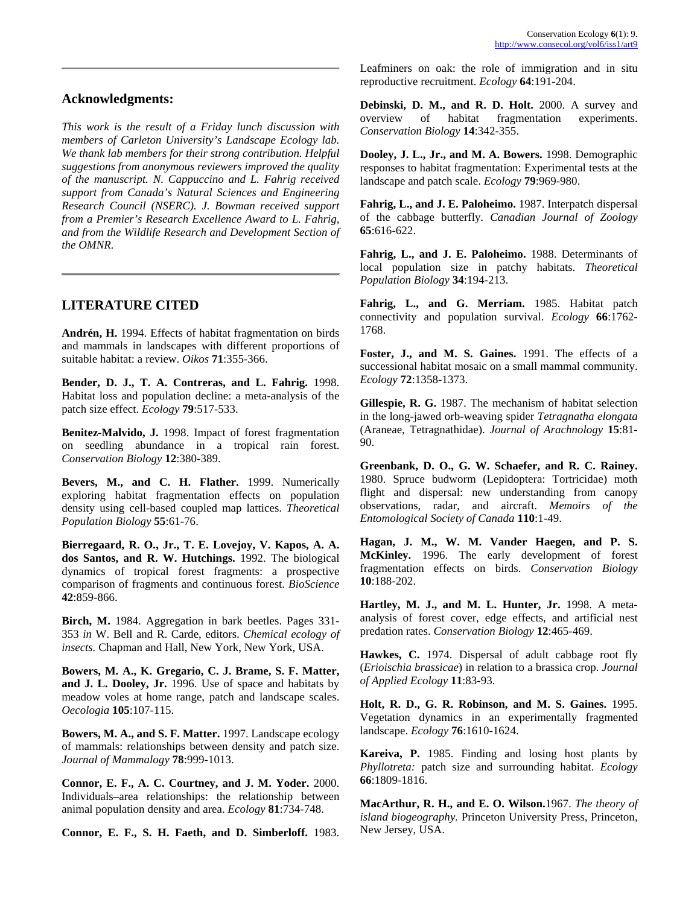#### **Acknowledgments:**

*This work is the result of a Friday lunch discussion with members of Carleton University's Landscape Ecology lab. We thank lab members for their strong contribution. Helpful suggestions from anonymous reviewers improved the quality of the manuscript. N. Cappuccino and L. Fahrig received support from Canada's Natural Sciences and Engineering Research Council (NSERC). J. Bowman received support from a Premier's Research Excellence Award to L. Fahrig, and from the Wildlife Research and Development Section of the OMNR.* 

### **LITERATURE CITED**

**Andrén, H.** 1994. Effects of habitat fragmentation on birds and mammals in landscapes with different proportions of suitable habitat: a review. *Oikos* **71**:355-366.

**Bender, D. J., T. A. Contreras, and L. Fahrig.** 1998. Habitat loss and population decline: a meta-analysis of the patch size effect. *Ecology* **79**:517-533.

**Benitez-Malvido, J.** 1998. Impact of forest fragmentation on seedling abundance in a tropical rain forest. *Conservation Biology* **12**:380-389.

**Bevers, M., and C. H. Flather.** 1999. Numerically exploring habitat fragmentation effects on population density using cell-based coupled map lattices. *Theoretical Population Biology* **55**:61-76.

**Bierregaard, R. O., Jr., T. E. Lovejoy, V. Kapos, A. A. dos Santos, and R. W. Hutchings.** 1992. The biological dynamics of tropical forest fragments: a prospective comparison of fragments and continuous forest. *BioScience* **42**:859-866.

**Birch, M.** 1984. Aggregation in bark beetles. Pages 331- 353 *in* W. Bell and R. Carde, editors. *Chemical ecology of insects.* Chapman and Hall, New York, New York, USA.

**Bowers, M. A., K. Gregario, C. J. Brame, S. F. Matter, and J. L. Dooley, Jr.** 1996. Use of space and habitats by meadow voles at home range, patch and landscape scales. *Oecologia* **105**:107-115.

**Bowers, M. A., and S. F. Matter.** 1997. Landscape ecology of mammals: relationships between density and patch size. *Journal of Mammalogy* **78**:999-1013.

**Connor, E. F., A. C. Courtney, and J. M. Yoder.** 2000. Individuals–area relationships: the relationship between animal population density and area. *Ecology* **81**:734-748.

**Connor, E. F., S. H. Faeth, and D. Simberloff.** 1983.

Leafminers on oak: the role of immigration and in situ reproductive recruitment. *Ecology* **64**:191-204.

**Debinski, D. M., and R. D. Holt.** 2000. A survey and overview of habitat fragmentation experiments. *Conservation Biology* **14**:342-355.

**Dooley, J. L., Jr., and M. A. Bowers.** 1998. Demographic responses to habitat fragmentation: Experimental tests at the landscape and patch scale. *Ecology* **79**:969-980.

**Fahrig, L., and J. E. Paloheimo.** 1987. Interpatch dispersal of the cabbage butterfly. *Canadian Journal of Zoology* **65**:616-622.

**Fahrig, L., and J. E. Paloheimo.** 1988. Determinants of local population size in patchy habitats. *Theoretical Population Biology* **34**:194-213.

**Fahrig, L., and G. Merriam.** 1985. Habitat patch connectivity and population survival. *Ecology* **66**:1762- 1768.

**Foster, J., and M. S. Gaines.** 1991. The effects of a successional habitat mosaic on a small mammal community. *Ecology* **72**:1358-1373.

**Gillespie, R. G.** 1987. The mechanism of habitat selection in the long-jawed orb-weaving spider *Tetragnatha elongata* (Araneae, Tetragnathidae). *Journal of Arachnology* **15**:81- 90.

**Greenbank, D. O., G. W. Schaefer, and R. C. Rainey.** 1980. Spruce budworm (Lepidoptera: Tortricidae) moth flight and dispersal: new understanding from canopy observations, radar, and aircraft. *Memoirs of the Entomological Society of Canada* **110**:1-49.

**Hagan, J. M., W. M. Vander Haegen, and P. S. McKinley.** 1996. The early development of forest fragmentation effects on birds. *Conservation Biology* **10**:188-202.

**Hartley, M. J., and M. L. Hunter, Jr.** 1998. A metaanalysis of forest cover, edge effects, and artificial nest predation rates. *Conservation Biology* **12**:465-469.

**Hawkes, C.** 1974. Dispersal of adult cabbage root fly (*Erioischia brassicae*) in relation to a brassica crop. *Journal of Applied Ecology* **11**:83-93.

**Holt, R. D., G. R. Robinson, and M. S. Gaines.** 1995. Vegetation dynamics in an experimentally fragmented landscape. *Ecology* **76**:1610-1624.

**Kareiva, P.** 1985. Finding and losing host plants by *Phyllotreta:* patch size and surrounding habitat. *Ecology* **66**:1809-1816.

**MacArthur, R. H., and E. O. Wilson.**1967. *The theory of island biogeography.* Princeton University Press, Princeton, New Jersey, USA.